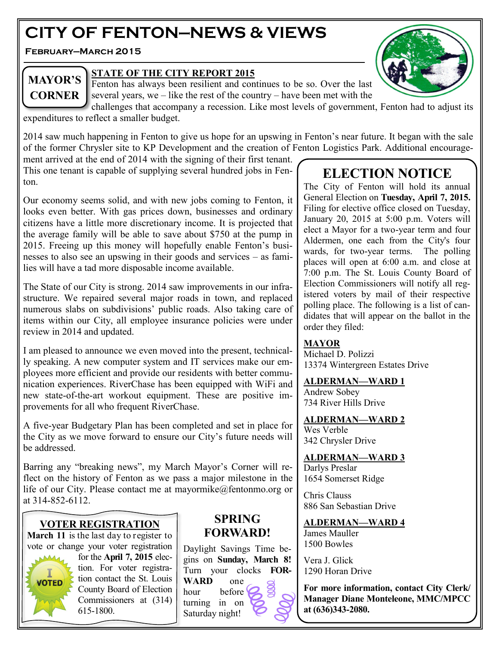# **CITY OF FENTON—NEWS & VIEWS**

**February—March 2015**

**MAYOR'S CORNER**

#### **STATE OF THE CITY REPORT 2015**

Fenton has always been resilient and continues to be so. Over the last several years, we – like the rest of the country – have been met with the

challenges that accompany a recession. Like most levels of government, Fenton had to adjust its expenditures to reflect a smaller budget.

2014 saw much happening in Fenton to give us hope for an upswing in Fenton's near future. It began with the sale of the former Chrysler site to KP Development and the creation of Fenton Logistics Park. Additional encourage-

ment arrived at the end of 2014 with the signing of their first tenant. This one tenant is capable of supplying several hundred jobs in Fenton.

Our economy seems solid, and with new jobs coming to Fenton, it looks even better. With gas prices down, businesses and ordinary citizens have a little more discretionary income. It is projected that the average family will be able to save about \$750 at the pump in 2015. Freeing up this money will hopefully enable Fenton's businesses to also see an upswing in their goods and services – as families will have a tad more disposable income available.

The State of our City is strong. 2014 saw improvements in our infrastructure. We repaired several major roads in town, and replaced numerous slabs on subdivisions' public roads. Also taking care of items within our City, all employee insurance policies were under review in 2014 and updated.

I am pleased to announce we even moved into the present, technically speaking. A new computer system and IT services make our employees more efficient and provide our residents with better communication experiences. RiverChase has been equipped with WiFi and new state-of-the-art workout equipment. These are positive improvements for all who frequent RiverChase.

A five-year Budgetary Plan has been completed and set in place for the City as we move forward to ensure our City's future needs will be addressed.

Barring any "breaking news", my March Mayor's Corner will reflect on the history of Fenton as we pass a major milestone in the life of our City. Please contact me at mayormike@fentonmo.org or at 314-852-6112.

# **VOTER REGISTRATION**

**March 11** is the last day to register to vote or change your voter registration



for the **April 7, 2015** election. For voter registration contact the St. Louis County Board of Election Commissioners at (314) 615-1800.

# **SPRING FORWARD!**

Daylight Savings Time begins on **Sunday, March 8!**  Turn your clocks **FOR-WARD** one hour before turning in on Saturday night!

# **ELECTION NOTICE**

The City of Fenton will hold its annual General Election on **Tuesday, April 7, 2015.** Filing for elective office closed on Tuesday, January 20, 2015 at 5:00 p.m. Voters will elect a Mayor for a two-year term and four Aldermen, one each from the City's four wards, for two-year terms. The polling places will open at 6:00 a.m. and close at 7:00 p.m. The St. Louis County Board of Election Commissioners will notify all registered voters by mail of their respective polling place. The following is a list of candidates that will appear on the ballot in the order they filed:

#### **MAYOR**

Michael D. Polizzi 13374 Wintergreen Estates Drive

#### **ALDERMAN—WARD 1**

Andrew Sobey 734 River Hills Drive

**ALDERMAN—WARD 2**

Wes Verble 342 Chrysler Drive

# **ALDERMAN—WARD 3**

Darlys Preslar 1654 Somerset Ridge

Chris Clauss 886 San Sebastian Drive

#### **ALDERMAN—WARD 4**

James Mauller 1500 Bowles

Vera J. Glick 1290 Horan Drive

**For more information, contact City Clerk/ Manager Diane Monteleone, MMC/MPCC at (636)343-2080.**

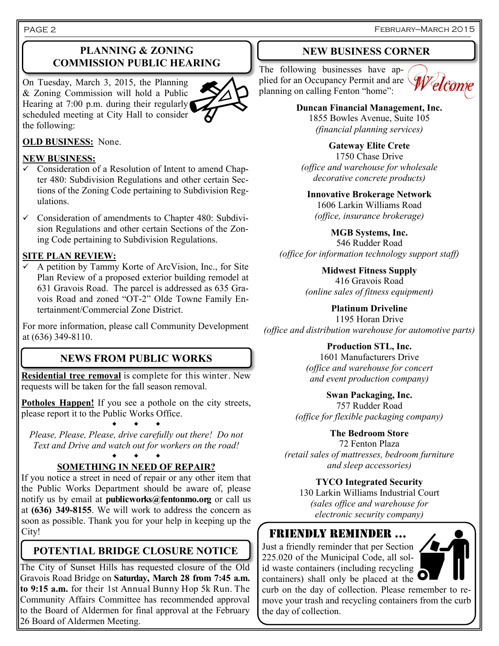February—March 2015

### **PLANNING & ZONING COMMISSION PUBLIC HEARING**

On Tuesday, March 3, 2015, the Planning & Zoning Commission will hold a Public Hearing at 7:00 p.m. during their regularly scheduled meeting at City Hall to consider the following:



### **OLD BUSINESS:** None.

#### **NEW BUSINESS:**

- $\checkmark$  Consideration of a Resolution of Intent to amend Chapter 480: Subdivision Regulations and other certain Sections of the Zoning Code pertaining to Subdivision Regulations.
- $\checkmark$  Consideration of amendments to Chapter 480: Subdivision Regulations and other certain Sections of the Zoning Code pertaining to Subdivision Regulations.

#### **SITE PLAN REVIEW:**

 $\checkmark$  A petition by Tammy Korte of ArcVision, Inc., for Site Plan Review of a proposed exterior building remodel at 631 Gravois Road. The parcel is addressed as 635 Gravois Road and zoned "OT-2" Olde Towne Family Entertainment/Commercial Zone District.

For more information, please call Community Development at (636) 349-8110.

# **NEWS FROM PUBLIC WORKS**

**Residential tree removal** is complete for this winter. New requests will be taken for the fall season removal.

**Potholes Happen!** If you see a pothole on the city streets, please report it to the Public Works Office.

 $\bullet$   $\bullet$   $\bullet$ *Please, Please, Please, drive carefully out there! Do not Text and Drive and watch out for workers on the road!*

#### $\bullet$   $\bullet$   $\bullet$ **SOMETHING IN NEED OF REPAIR?**

If you notice a street in need of repair or any other item that the Public Works Department should be aware of, please notify us by email at **publicworks@fentonmo.org** or call us at **(636) 349-8155**. We will work to address the concern as soon as possible. Thank you for your help in keeping up the City!

# **POTENTIAL BRIDGE CLOSURE NOTICE**

The City of Sunset Hills has requested closure of the Old Gravois Road Bridge on **Saturday, March 28 from 7:45 a.m. to 9:15 a.m.** for their 1st Annual Bunny Hop 5k Run. The Community Affairs Committee has recommended approval to the Board of Aldermen for final approval at the February 26 Board of Aldermen Meeting.

#### **NEW BUSINESS CORNER**

The following businesses have applied for an Occupancy Permit and are planning on calling Fenton "home":



**Duncan Financial Management, Inc.** 1855 Bowles Avenue, Suite 105 *(financial planning services)*

**Gateway Elite Crete** 1750 Chase Drive *(office and warehouse for wholesale decorative concrete products)*

**Innovative Brokerage Network** 1606 Larkin Williams Road *(office, insurance brokerage)*

**MGB Systems, Inc.** 546 Rudder Road *(office for information technology support staff)*

> **Midwest Fitness Supply** 416 Gravois Road *(online sales of fitness equipment)*

**Platinum Driveline** 1195 Horan Drive *(office and distribution warehouse for automotive parts)*

> **Production STL, Inc.** 1601 Manufacturers Drive *(office and warehouse for concert and event production company)*

**Swan Packaging, Inc.** 757 Rudder Road *(office for flexible packaging company)*

#### **The Bedroom Store**

72 Fenton Plaza *(retail sales of mattresses, bedroom furniture and sleep accessories)*

**TYCO Integrated Security** 130 Larkin Williams Industrial Court *(sales office and warehouse for electronic security company)*

# FRIENDLY REMINDER ...

Just a friendly reminder that per Section 225.020 of the Municipal Code, all solid waste containers (including recycling containers) shall only be placed at the  $\bullet$ curb on the day of collection. Please remember to remove your trash and recycling containers from the curb the day of collection.

PAGE 2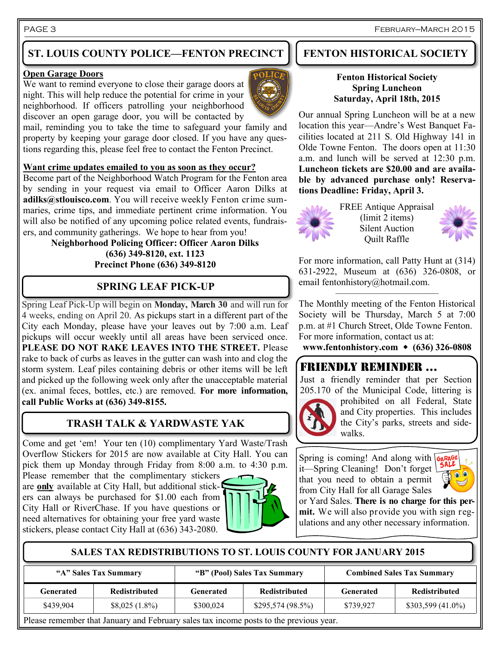PAGE 3 FEBRUARY—MARCH 2015

# **ST. LOUIS COUNTY POLICE—FENTON PRECINCT**

#### **Open Garage Doors**

We want to remind everyone to close their garage doors at night. This will help reduce the potential for crime in your neighborhood. If officers patrolling your neighborhood discover an open garage door, you will be contacted by

mail, reminding you to take the time to safeguard your family and property by keeping your garage door closed. If you have any questions regarding this, please feel free to contact the Fenton Precinct.

#### **Want crime updates emailed to you as soon as they occur?**

Become part of the Neighborhood Watch Program for the Fenton area by sending in your request via email to Officer Aaron Dilks at **adilks@stlouisco.com**. You will receive weekly Fenton crime summaries, crime tips, and immediate pertinent crime information. You will also be notified of any upcoming police related events, fundraisers, and community gatherings. We hope to hear from you!

**Neighborhood Policing Officer: Officer Aaron Dilks (636) 349-8120, ext. 1123 Precinct Phone (636) 349-8120**

# **SPRING LEAF PICK-UP**

Spring Leaf Pick-Up will begin on **Monday, March 30** and will run for 4 weeks, ending on April 20. As pickups start in a different part of the City each Monday, please have your leaves out by 7:00 a.m. Leaf pickups will occur weekly until all areas have been serviced once. **PLEASE DO NOT RAKE LEAVES INTO THE STREET.** Please rake to back of curbs as leaves in the gutter can wash into and clog the storm system. Leaf piles containing debris or other items will be left and picked up the following week only after the unacceptable material (ex. animal feces, bottles, etc.) are removed. **For more information, call Public Works at (636) 349-8155.**

# **TRASH TALK & YARDWASTE YAK**

Come and get 'em! Your ten (10) complimentary Yard Waste/Trash Overflow Stickers for 2015 are now available at City Hall. You can pick them up Monday through Friday from 8:00 a.m. to 4:30 p.m.

Please remember that the complimentary stickers are **only** available at City Hall, but additional stickers can always be purchased for \$1.00 each from City Hall or RiverChase. If you have questions or need alternatives for obtaining your free yard waste stickers, please contact City Hall at (636) 343-2080.



# **FENTON HISTORICAL SOCIETY**

#### **Fenton Historical Society Spring Luncheon Saturday, April 18th, 2015**

Our annual Spring Luncheon will be at a new location this year—Andre's West Banquet Facilities located at 211 S. Old Highway 141 in Olde Towne Fenton. The doors open at 11:30 a.m. and lunch will be served at 12:30 p.m. **Luncheon tickets are \$20.00 and are available by advanced purchase only! Reservations Deadline: Friday, April 3.**



FREE Antique Appraisal (limit 2 items) Silent Auction Quilt Raffle



For more information, call Patty Hunt at (314) 631-2922, Museum at (636) 326-0808, or email fentonhistory@hotmail.com.

———————————

The Monthly meeting of the Fenton Historical Society will be Thursday, March 5 at 7:00 p.m. at #1 Church Street, Olde Towne Fenton. For more information, contact us at:

**www.fentonhistory.com (636) 326-0808**

# FRIENDLY REMINDER ...

Just a friendly reminder that per Section 205.170 of the Municipal Code, littering is



prohibited on all Federal, State and City properties. This includes the City's parks, streets and sidewalks.

Spring is coming! And along with  $\sqrt{\frac{GARAGE}{SALE}}$ it—Spring Cleaning! Don't forget that you need to obtain a permit from City Hall for all Garage Sales



or Yard Sales. **There is no charge for this permit.** We will also provide you with sign regulations and any other necessary information.

#### **SALES TAX REDISTRIBUTIONS TO ST. LOUIS COUNTY FOR JANUARY 2015**

| "A" Sales Tax Summary |                      | "B" (Pool) Sales Tax Summary |                  | <b>Combined Sales Tax Summary</b> |                      |
|-----------------------|----------------------|------------------------------|------------------|-----------------------------------|----------------------|
| Generated             | <b>Redistributed</b> | Generated                    | Redistributed    | Generated                         | <b>Redistributed</b> |
| \$439,904             | $$8,025(1.8\%)$      | \$300,024                    | \$295,574(98.5%) | \$739.927                         | $$303,599(41.0\%)$   |

Please remember that January and February sales tax income posts to the previous year.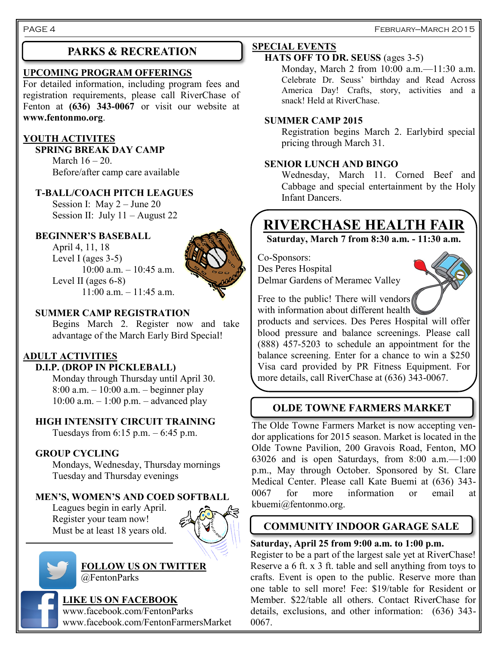# **PARKS & RECREATION SPECIAL EVENTS**

#### **UPCOMING PROGRAM OFFERINGS**

For detailed information, including program fees and registration requirements, please call RiverChase of Fenton at **(636) 343-0067** or visit our website at **www.fentonmo.org**.

#### **YOUTH ACTIVITES**

 **SPRING BREAK DAY CAMP** March  $16 - 20$ . Before/after camp care available

#### **T-BALL/COACH PITCH LEAGUES**

Session I: May 2 – June 20 Session II: July 11 – August 22

#### **BEGINNER'S BASEBALL**

April 4, 11, 18 Level I (ages 3-5) 10:00 a.m. – 10:45 a.m. Level II (ages 6-8) 11:00 a.m. – 11:45 a.m.



#### **SUMMER CAMP REGISTRATION**

Begins March 2. Register now and take advantage of the March Early Bird Special!

#### **ADULT ACTIVITIES**

#### **D.I.P. (DROP IN PICKLEBALL)**

Monday through Thursday until April 30. 8:00 a.m. – 10:00 a.m. – beginner play  $10:00$  a.m.  $-1:00$  p.m.  $-$  advanced play

 **HIGH INTENSITY CIRCUIT TRAINING** Tuesdays from  $6:15$  p.m.  $-6:45$  p.m.

#### **GROUP CYCLING**

Mondays, Wednesday, Thursday mornings Tuesday and Thursday evenings

#### **MEN'S, WOMEN'S AND COED SOFTBALL**

Leagues begin in early April. Register your team now! Must be at least 18 years old.





 **FOLLOW US ON TWITTER** @FentonParks

#### **LIKE US ON FACEBOOK**

www.facebook.com/FentonParks www.facebook.com/FentonFarmersMarket

#### **HATS OFF TO DR. SEUSS** (ages 3-5)

 Monday, March 2 from 10:00 a.m.—11:30 a.m. Celebrate Dr. Seuss' birthday and Read Across America Day! Crafts, story, activities and a snack! Held at RiverChase.

#### **SUMMER CAMP 2015**

Registration begins March 2. Earlybird special pricing through March 31.

#### **SENIOR LUNCH AND BINGO**

Wednesday, March 11. Corned Beef and Cabbage and special entertainment by the Holy Infant Dancers.

# **RIVERCHASE HEALTH FAIR**

**Saturday, March 7 from 8:30 a.m. - 11:30 a.m.**

Co-Sponsors: Des Peres Hospital Delmar Gardens of Meramec Valley

Free to the public! There will vendors with information about different health<sup>'</sup>

products and services. Des Peres Hospital will offer blood pressure and balance screenings. Please call (888) 457-5203 to schedule an appointment for the balance screening. Enter for a chance to win a \$250 Visa card provided by PR Fitness Equipment. For more details, call RiverChase at (636) 343-0067.

# **OLDE TOWNE FARMERS MARKET**

The Olde Towne Farmers Market is now accepting vendor applications for 2015 season. Market is located in the Olde Towne Pavilion, 200 Gravois Road, Fenton, MO 63026 and is open Saturdays, from 8:00 a.m.—1:00 p.m., May through October. Sponsored by St. Clare Medical Center. Please call Kate Buemi at (636) 343- 0067 for more information or email at kbuemi@fentonmo.org.

# **COMMUNITY INDOOR GARAGE SALE**

**Saturday, April 25 from 9:00 a.m. to 1:00 p.m.**

Register to be a part of the largest sale yet at RiverChase! Reserve a 6 ft. x 3 ft. table and sell anything from toys to crafts. Event is open to the public. Reserve more than one table to sell more! Fee: \$19/table for Resident or Member. \$22/table all others. Contact RiverChase for details, exclusions, and other information: (636) 343- 0067.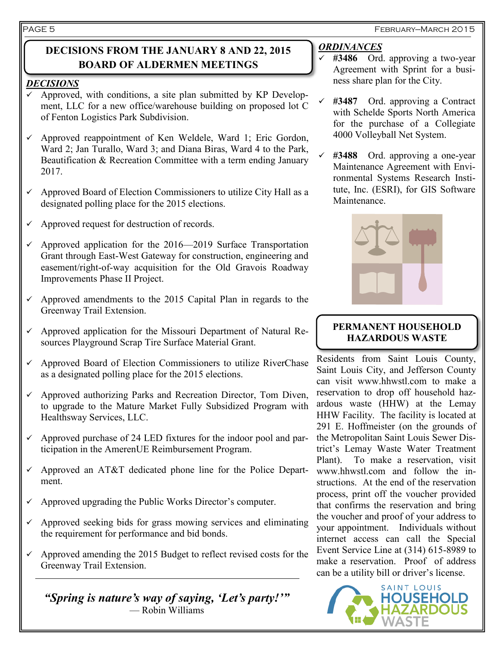# **DECISIONS FROM THE JANUARY 8 AND 22, 2015 BOARD OF ALDERMEN MEETINGS**

#### *DECISIONS*

- Approved, with conditions, a site plan submitted by KP Development, LLC for a new office/warehouse building on proposed lot C of Fenton Logistics Park Subdivision.
- Approved reappointment of Ken Weldele, Ward 1; Eric Gordon, Ward 2; Jan Turallo, Ward 3; and Diana Biras, Ward 4 to the Park, Beautification & Recreation Committee with a term ending January 2017.
- $\checkmark$  Approved Board of Election Commissioners to utilize City Hall as a designated polling place for the 2015 elections.
- $\checkmark$  Approved request for destruction of records.
- $\checkmark$  Approved application for the 2016—2019 Surface Transportation Grant through East-West Gateway for construction, engineering and easement/right-of-way acquisition for the Old Gravois Roadway Improvements Phase II Project.
- $\sim$  Approved amendments to the 2015 Capital Plan in regards to the Greenway Trail Extension.
- $\checkmark$  Approved application for the Missouri Department of Natural Resources Playground Scrap Tire Surface Material Grant.
- $\checkmark$  Approved Board of Election Commissioners to utilize RiverChase as a designated polling place for the 2015 elections.
- $\checkmark$  Approved authorizing Parks and Recreation Director, Tom Diven, to upgrade to the Mature Market Fully Subsidized Program with Healthsway Services, LLC.
- $\checkmark$  Approved purchase of 24 LED fixtures for the indoor pool and participation in the AmerenUE Reimbursement Program.
- $\checkmark$  Approved an AT&T dedicated phone line for the Police Department.
- Approved upgrading the Public Works Director's computer.
- $\checkmark$  Approved seeking bids for grass mowing services and eliminating the requirement for performance and bid bonds.
- $\sim$  Approved amending the 2015 Budget to reflect revised costs for the Greenway Trail Extension.

*"Spring is nature's way of saying, 'Let's party!'"* — Robin Williams

#### *ORDINANCES*

- **#3486** Ord. approving a two-year Agreement with Sprint for a business share plan for the City.
	- **#3487** Ord. approving a Contract with Schelde Sports North America for the purchase of a Collegiate 4000 Volleyball Net System.
	- **#3488** Ord. approving a one-year Maintenance Agreement with Environmental Systems Research Institute, Inc. (ESRI), for GIS Software **Maintenance**



#### **PERMANENT HOUSEHOLD HAZARDOUS WASTE**

Residents from Saint Louis County, Saint Louis City, and Jefferson County can visit www.hhwstl.com to make a reservation to drop off household hazardous waste (HHW) at the Lemay HHW Facility. The facility is located at 291 E. Hoffmeister (on the grounds of the Metropolitan Saint Louis Sewer District's Lemay Waste Water Treatment Plant). To make a reservation, visit www.hhwstl.com and follow the instructions. At the end of the reservation process, print off the voucher provided that confirms the reservation and bring the voucher and proof of your address to your appointment. Individuals without internet access can call the Special Event Service Line at (314) 615-8989 to make a reservation. Proof of address can be a utility bill or driver's license.



#### PAGE 5